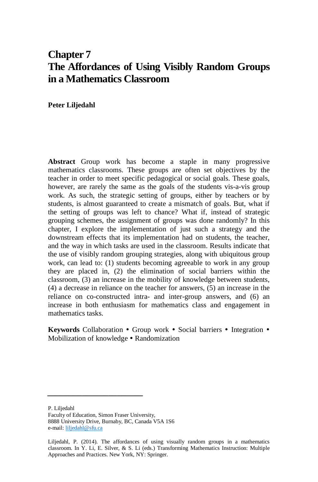# **Chapter 7 The Affordances of Using Visibly Random Groups in a Mathematics Classroom**

**Peter Liljedahl**

**Abstract** Group work has become a staple in many progressive mathematics classrooms. These groups are often set objectives by the teacher in order to meet specific pedagogical or social goals. These goals, however, are rarely the same as the goals of the students vis-a-vis group work. As such, the strategic setting of groups, either by teachers or by students, is almost guaranteed to create a mismatch of goals. But, what if the setting of groups was left to chance? What if, instead of strategic grouping schemes, the assignment of groups was done randomly? In this chapter, I explore the implementation of just such a strategy and the downstream effects that its implementation had on students, the teacher, and the way in which tasks are used in the classroom. Results indicate that the use of visibly random grouping strategies, along with ubiquitous group work, can lead to: (1) students becoming agreeable to work in any group they are placed in, (2) the elimination of social barriers within the classroom, (3) an increase in the mobility of knowledge between students, (4) a decrease in reliance on the teacher for answers, (5) an increase in the reliance on co-constructed intra- and inter-group answers, and (6) an increase in both enthusiasm for mathematics class and engagement in mathematics tasks.

**Keywords** Collaboration • Group work • Social barriers • Integration • Mobilization of knowledge • Randomization

*\_\_\_\_\_\_\_\_\_\_\_\_\_\_\_\_\_\_\_\_\_\_*

P. Liljedahl

Faculty of Education, Simon Fraser University, 8888 University Drive, Burnaby, BC, Canada V5A 1S6 e-mail: [liljedahl@sfu.ca](mailto:liljedahl@sfu.ca)

Liljedahl, P. (2014). The affordances of using visually random groups in a mathematics classroom. In Y. Li, E. Silver, & S. Li (eds.) Transforming Mathematics Instruction: Multiple Approaches and Practices. New York, NY: Springer.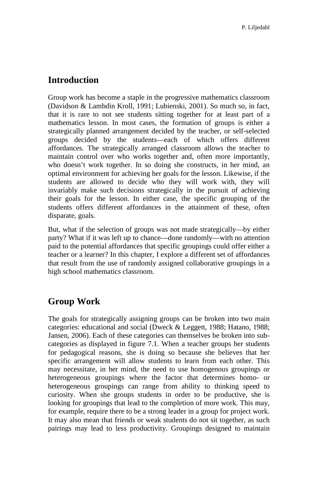#### **Introduction**

Group work has become a staple in the progressive mathematics classroom (Davidson & Lambdin Kroll, 1991; Lubienski, 2001). So much so, in fact, that it is rare to not see students sitting together for at least part of a mathematics lesson. In most cases, the formation of groups is either a strategically planned arrangement decided by the teacher, or self-selected groups decided by the students—each of which offers different affordances. The strategically arranged classroom allows the teacher to maintain control over who works together and, often more importantly, who doesn't work together. In so doing she constructs, in her mind, an optimal environment for achieving her goals for the lesson. Likewise, if the students are allowed to decide who they will work with, they will invariably make such decisions strategically in the pursuit of achieving their goals for the lesson. In either case, the specific grouping of the students offers different affordances in the attainment of these, often disparate, goals.

But, what if the selection of groups was not made strategically—by either party? What if it was left up to chance—done randomly—with no attention paid to the potential affordances that specific groupings could offer either a teacher or a learner? In this chapter, I explore a different set of affordances that result from the use of randomly assigned collaborative groupings in a high school mathematics classroom.

## **Group Work**

The goals for strategically assigning groups can be broken into two main categories: educational and social (Dweck & Leggett, 1988; Hatano, 1988; Jansen, 2006). Each of these categories can themselves be broken into subcategories as displayed in figure 7.1. When a teacher groups her students for pedagogical reasons, she is doing so because she believes that her specific arrangement will allow students to learn from each other. This may necessitate, in her mind, the need to use homogenous groupings or heterogeneous groupings where the factor that determines homo- or heterogeneous groupings can range from ability to thinking speed to curiosity. When she groups students in order to be productive, she is looking for groupings that lead to the completion of more work. This may, for example, require there to be a strong leader in a group for project work. It may also mean that friends or weak students do not sit together, as such pairings may lead to less productivity. Groupings designed to maintain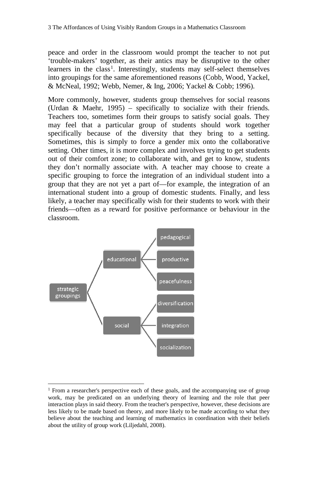peace and order in the classroom would prompt the teacher to not put 'trouble-makers' together, as their antics may be disruptive to the other learners in the class<sup>[1](#page-2-0)</sup>. Interestingly, students may self-select themselves into groupings for the same aforementioned reasons (Cobb, Wood, Yackel, & McNeal, 1992; Webb, Nemer, & Ing, 2006; Yackel & Cobb; 1996).

More commonly, however, students group themselves for social reasons (Urdan & Maehr, 1995) – specifically to socialize with their friends. Teachers too, sometimes form their groups to satisfy social goals. They may feel that a particular group of students should work together specifically because of the diversity that they bring to a setting. Sometimes, this is simply to force a gender mix onto the collaborative setting. Other times, it is more complex and involves trying to get students out of their comfort zone; to collaborate with, and get to know, students they don't normally associate with. A teacher may choose to create a specific grouping to force the integration of an individual student into a group that they are not yet a part of—for example, the integration of an international student into a group of domestic students. Finally, and less likely, a teacher may specifically wish for their students to work with their friends—often as a reward for positive performance or behaviour in the classroom.



<span id="page-2-0"></span><sup>1</sup> From a researcher's perspective each of these goals, and the accompanying use of group work, may be predicated on an underlying theory of learning and the role that peer interaction plays in said theory. From the teacher's perspective, however, these decisions are less likely to be made based on theory, and more likely to be made according to what they believe about the teaching and learning of mathematics in coordination with their beliefs about the utility of group work (Liljedahl, 2008). <u>.</u>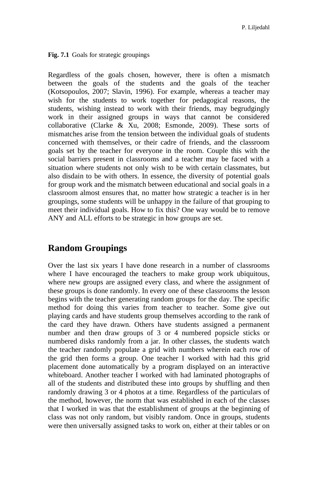#### **Fig. 7.1** Goals for strategic groupings

Regardless of the goals chosen, however, there is often a mismatch between the goals of the students and the goals of the teacher (Kotsopoulos, 2007; Slavin, 1996). For example, whereas a teacher may wish for the students to work together for pedagogical reasons, the students, wishing instead to work with their friends, may begrudgingly work in their assigned groups in ways that cannot be considered collaborative (Clarke & Xu, 2008; Esmonde, 2009). These sorts of mismatches arise from the tension between the individual goals of students concerned with themselves, or their cadre of friends, and the classroom goals set by the teacher for everyone in the room. Couple this with the social barriers present in classrooms and a teacher may be faced with a situation where students not only wish to be with certain classmates, but also disdain to be with others. In essence, the diversity of potential goals for group work and the mismatch between educational and social goals in a classroom almost ensures that, no matter how strategic a teacher is in her groupings, some students will be unhappy in the failure of that grouping to meet their individual goals. How to fix this? One way would be to remove ANY and ALL efforts to be strategic in how groups are set.

#### **Random Groupings**

Over the last six years I have done research in a number of classrooms where I have encouraged the teachers to make group work ubiquitous, where new groups are assigned every class, and where the assignment of these groups is done randomly. In every one of these classrooms the lesson begins with the teacher generating random groups for the day. The specific method for doing this varies from teacher to teacher. Some give out playing cards and have students group themselves according to the rank of the card they have drawn. Others have students assigned a permanent number and then draw groups of 3 or 4 numbered popsicle sticks or numbered disks randomly from a jar. In other classes, the students watch the teacher randomly populate a grid with numbers wherein each row of the grid then forms a group. One teacher I worked with had this grid placement done automatically by a program displayed on an interactive whiteboard. Another teacher I worked with had laminated photographs of all of the students and distributed these into groups by shuffling and then randomly drawing 3 or 4 photos at a time. Regardless of the particulars of the method, however, the norm that was established in each of the classes that I worked in was that the establishment of groups at the beginning of class was not only random, but visibly random. Once in groups, students were then universally assigned tasks to work on, either at their tables or on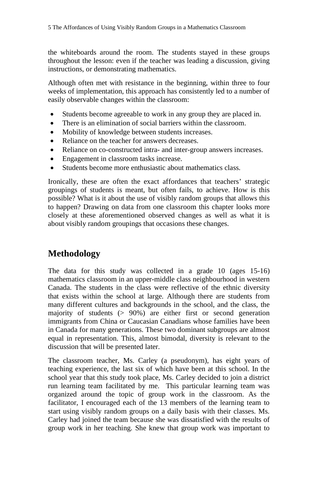the whiteboards around the room. The students stayed in these groups throughout the lesson: even if the teacher was leading a discussion, giving instructions, or demonstrating mathematics.

Although often met with resistance in the beginning, within three to four weeks of implementation, this approach has consistently led to a number of easily observable changes within the classroom:

- Students become agreeable to work in any group they are placed in.
- There is an elimination of social barriers within the classroom.
- Mobility of knowledge between students increases.
- Reliance on the teacher for answers decreases.
- Reliance on co-constructed intra- and inter-group answers increases.
- Engagement in classroom tasks increase.
- Students become more enthusiastic about mathematics class.

Ironically, these are often the exact affordances that teachers' strategic groupings of students is meant, but often fails, to achieve. How is this possible? What is it about the use of visibly random groups that allows this to happen? Drawing on data from one classroom this chapter looks more closely at these aforementioned observed changes as well as what it is about visibly random groupings that occasions these changes.

# **Methodology**

The data for this study was collected in a grade 10 (ages 15-16) mathematics classroom in an upper-middle class neighbourhood in western Canada. The students in the class were reflective of the ethnic diversity that exists within the school at large. Although there are students from many different cultures and backgrounds in the school, and the class, the majority of students (> 90%) are either first or second generation immigrants from China or Caucasian Canadians whose families have been in Canada for many generations. These two dominant subgroups are almost equal in representation. This, almost bimodal, diversity is relevant to the discussion that will be presented later.

The classroom teacher, Ms. Carley (a pseudonym), has eight years of teaching experience, the last six of which have been at this school. In the school year that this study took place, Ms. Carley decided to join a district run learning team facilitated by me. This particular learning team was organized around the topic of group work in the classroom. As the facilitator, I encouraged each of the 13 members of the learning team to start using visibly random groups on a daily basis with their classes. Ms. Carley had joined the team because she was dissatisfied with the results of group work in her teaching. She knew that group work was important to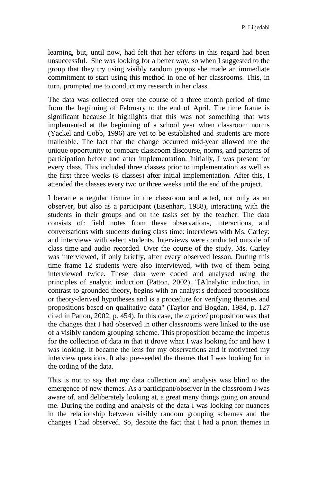learning, but, until now, had felt that her efforts in this regard had been unsuccessful. She was looking for a better way, so when I suggested to the group that they try using visibly random groups she made an immediate commitment to start using this method in one of her classrooms. This, in turn, prompted me to conduct my research in her class.

The data was collected over the course of a three month period of time from the beginning of February to the end of April. The time frame is significant because it highlights that this was not something that was implemented at the beginning of a school year when classroom norms (Yackel and Cobb, 1996) are yet to be established and students are more malleable. The fact that the change occurred mid-year allowed me the unique opportunity to compare classroom discourse, norms, and patterns of participation before and after implementation. Initially, I was present for every class. This included three classes prior to implementation as well as the first three weeks (8 classes) after initial implementation. After this, I attended the classes every two or three weeks until the end of the project.

I became a regular fixture in the classroom and acted, not only as an observer, but also as a participant (Eisenhart, 1988), interacting with the students in their groups and on the tasks set by the teacher. The data consists of: field notes from these observations, interactions, and conversations with students during class time: interviews with Ms. Carley: and interviews with select students. Interviews were conducted outside of class time and audio recorded. Over the course of the study, Ms. Carley was interviewed, if only briefly, after every observed lesson. During this time frame 12 students were also interviewed, with two of them being interviewed twice. These data were coded and analysed using the principles of analytic induction (Patton, 2002). "[A]nalytic induction, in contrast to grounded theory, begins with an analyst's deduced propositions or theory-derived hypotheses and is a procedure for verifying theories and propositions based on qualitative data" (Taylor and Bogdan, 1984, p. 127 cited in Patton, 2002, p. 454). In this case, the *a priori* proposition was that the changes that I had observed in other classrooms were linked to the use of a visibly random grouping scheme. This proposition became the impetus for the collection of data in that it drove what I was looking for and how I was looking. It became the lens for my observations and it motivated my interview questions. It also pre-seeded the themes that I was looking for in the coding of the data.

This is not to say that my data collection and analysis was blind to the emergence of new themes. As a participant/observer in the classroom I was aware of, and deliberately looking at, a great many things going on around me. During the coding and analysis of the data I was looking for nuances in the relationship between visibly random grouping schemes and the changes I had observed. So, despite the fact that I had a priori themes in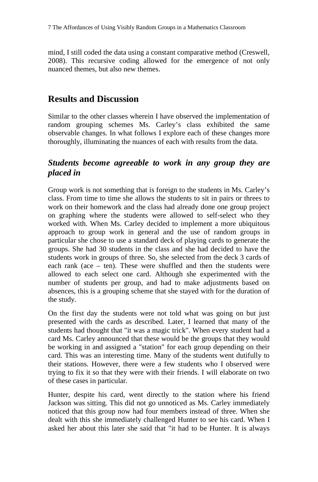mind, I still coded the data using a constant comparative method (Creswell, 2008). This recursive coding allowed for the emergence of not only nuanced themes, but also new themes.

## **Results and Discussion**

Similar to the other classes wherein I have observed the implementation of random grouping schemes Ms. Carley's class exhibited the same observable changes. In what follows I explore each of these changes more thoroughly, illuminating the nuances of each with results from the data.

#### *Students become agreeable to work in any group they are placed in*

Group work is not something that is foreign to the students in Ms. Carley's class. From time to time she allows the students to sit in pairs or threes to work on their homework and the class had already done one group project on graphing where the students were allowed to self-select who they worked with. When Ms. Carley decided to implement a more ubiquitous approach to group work in general and the use of random groups in particular she chose to use a standard deck of playing cards to generate the groups. She had 30 students in the class and she had decided to have the students work in groups of three. So, she selected from the deck 3 cards of each rank (ace – ten). These were shuffled and then the students were allowed to each select one card. Although she experimented with the number of students per group, and had to make adjustments based on absences, this is a grouping scheme that she stayed with for the duration of the study.

On the first day the students were not told what was going on but just presented with the cards as described. Later, I learned that many of the students had thought that "it was a magic trick". When every student had a card Ms. Carley announced that these would be the groups that they would be working in and assigned a "station" for each group depending on their card. This was an interesting time. Many of the students went dutifully to their stations. However, there were a few students who I observed were trying to fix it so that they were with their friends. I will elaborate on two of these cases in particular.

Hunter, despite his card, went directly to the station where his friend Jackson was sitting. This did not go unnoticed as Ms. Carley immediately noticed that this group now had four members instead of three. When she dealt with this she immediately challenged Hunter to see his card. When I asked her about this later she said that "it had to be Hunter. It is always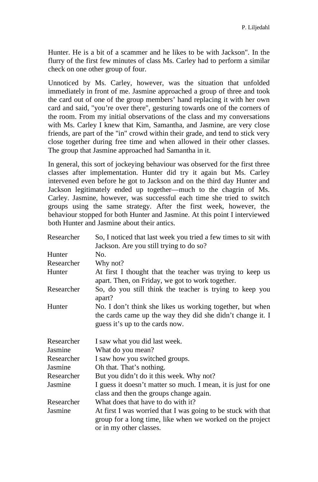Hunter. He is a bit of a scammer and he likes to be with Jackson". In the flurry of the first few minutes of class Ms. Carley had to perform a similar check on one other group of four.

Unnoticed by Ms. Carley, however, was the situation that unfolded immediately in front of me. Jasmine approached a group of three and took the card out of one of the group members' hand replacing it with her own card and said, "you're over there", gesturing towards one of the corners of the room. From my initial observations of the class and my conversations with Ms. Carley I knew that Kim, Samantha, and Jasmine, are very close friends, are part of the "in" crowd within their grade, and tend to stick very close together during free time and when allowed in their other classes. The group that Jasmine approached had Samantha in it.

In general, this sort of jockeying behaviour was observed for the first three classes after implementation. Hunter did try it again but Ms. Carley intervened even before he got to Jackson and on the third day Hunter and Jackson legitimately ended up together—much to the chagrin of Ms. Carley. Jasmine, however, was successful each time she tried to switch groups using the same strategy. After the first week, however, the behaviour stopped for both Hunter and Jasmine. At this point I interviewed both Hunter and Jasmine about their antics.

| Researcher | So, I noticed that last week you tried a few times to sit with                                                                                             |
|------------|------------------------------------------------------------------------------------------------------------------------------------------------------------|
|            | Jackson. Are you still trying to do so?                                                                                                                    |
| Hunter     | No.                                                                                                                                                        |
| Researcher | Why not?                                                                                                                                                   |
| Hunter     | At first I thought that the teacher was trying to keep us<br>apart. Then, on Friday, we got to work together.                                              |
| Researcher | So, do you still think the teacher is trying to keep you<br>apart?                                                                                         |
| Hunter     | No. I don't think she likes us working together, but when<br>the cards came up the way they did she didn't change it. I<br>guess it's up to the cards now. |
| Researcher | I saw what you did last week.                                                                                                                              |
| Jasmine    | What do you mean?                                                                                                                                          |
| Researcher | I saw how you switched groups.                                                                                                                             |
| Jasmine    | Oh that. That's nothing.                                                                                                                                   |
| Researcher | But you didn't do it this week. Why not?                                                                                                                   |
| Jasmine    | I guess it doesn't matter so much. I mean, it is just for one<br>class and then the groups change again.                                                   |
| Researcher | What does that have to do with it?                                                                                                                         |
| Jasmine    | At first I was worried that I was going to be stuck with that<br>group for a long time, like when we worked on the project<br>or in my other classes.      |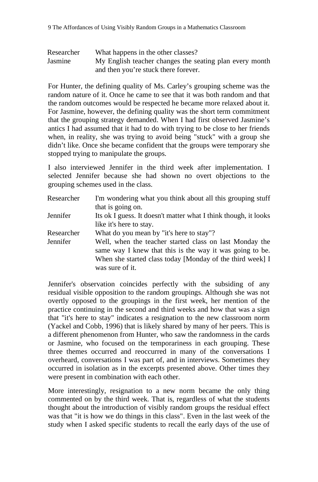| Researcher | What happens in the other classes?                      |
|------------|---------------------------------------------------------|
| Jasmine    | My English teacher changes the seating plan every month |
|            | and then you're stuck there forever.                    |

For Hunter, the defining quality of Ms. Carley's grouping scheme was the random nature of it. Once he came to see that it was both random and that the random outcomes would be respected he became more relaxed about it. For Jasmine, however, the defining quality was the short term commitment that the grouping strategy demanded. When I had first observed Jasmine's antics I had assumed that it had to do with trying to be close to her friends when, in reality, she was trying to avoid being "stuck" with a group she didn't like. Once she became confident that the groups were temporary she stopped trying to manipulate the groups.

I also interviewed Jennifer in the third week after implementation. I selected Jennifer because she had shown no overt objections to the grouping schemes used in the class.

- Researcher I'm wondering what you think about all this grouping stuff that is going on.
- Jennifer Its ok I guess. It doesn't matter what I think though, it looks like it's here to stay.

Researcher What do you mean by "it's here to stay"?

Jennifer Well, when the teacher started class on last Monday the same way I knew that this is the way it was going to be. When she started class today [Monday of the third week] I was sure of it.

Jennifer's observation coincides perfectly with the subsiding of any residual visible opposition to the random groupings. Although she was not overtly opposed to the groupings in the first week, her mention of the practice continuing in the second and third weeks and how that was a sign that "it's here to stay" indicates a resignation to the new classroom norm (Yackel and Cobb, 1996) that is likely shared by many of her peers. This is a different phenomenon from Hunter, who saw the randomness in the cards or Jasmine, who focused on the temporariness in each grouping. These three themes occurred and reoccurred in many of the conversations I overheard, conversations I was part of, and in interviews. Sometimes they occurred in isolation as in the excerpts presented above. Other times they were present in combination with each other.

More interestingly, resignation to a new norm became the only thing commented on by the third week. That is, regardless of what the students thought about the introduction of visibly random groups the residual effect was that "it is how we do things in this class". Even in the last week of the study when I asked specific students to recall the early days of the use of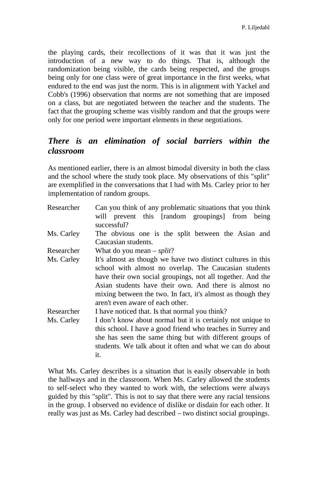the playing cards, their recollections of it was that it was just the introduction of a new way to do things. That is, although the randomization being visible, the cards being respected, and the groups being only for one class were of great importance in the first weeks, what endured to the end was just the norm. This is in alignment with Yackel and Cobb's (1996) observation that norms are not something that are imposed on a class, but are negotiated between the teacher and the students. The fact that the grouping scheme was visibly random and that the groups were only for one period were important elements in these negotiations.

### *There is an elimination of social barriers within the classroom*

As mentioned earlier, there is an almost bimodal diversity in both the class and the school where the study took place. My observations of this "split" are exemplified in the conversations that I had with Ms. Carley prior to her implementation of random groups.

- Researcher Can you think of any problematic situations that you think will prevent this [random groupings] from being successful?
- Ms. Carley The obvious one is the split between the Asian and Caucasian students.

Researcher What do you mean – *split*?

- Ms. Carley It's almost as though we have two distinct cultures in this school with almost no overlap. The Caucasian students have their own social groupings, not all together. And the Asian students have their own. And there is almost no mixing between the two. In fact, it's almost as though they aren't even aware of each other.
- Researcher I have noticed that. Is that normal you think?
- Ms. Carley I don't know about normal but it is certainly not unique to this school. I have a good friend who teaches in Surrey and she has seen the same thing but with different groups of students. We talk about it often and what we can do about it.

What Ms. Carley describes is a situation that is easily observable in both the hallways and in the classroom. When Ms. Carley allowed the students to self-select who they wanted to work with, the selections were always guided by this "split". This is not to say that there were any racial tensions in the group. I observed no evidence of dislike or disdain for each other. It really was just as Ms. Carley had described – two distinct social groupings.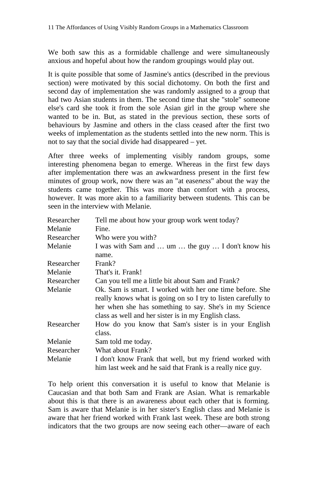We both saw this as a formidable challenge and were simultaneously anxious and hopeful about how the random groupings would play out.

It is quite possible that some of Jasmine's antics (described in the previous section) were motivated by this social dichotomy. On both the first and second day of implementation she was randomly assigned to a group that had two Asian students in them. The second time that she "stole" someone else's card she took it from the sole Asian girl in the group where she wanted to be in. But, as stated in the previous section, these sorts of behaviours by Jasmine and others in the class ceased after the first two weeks of implementation as the students settled into the new norm. This is not to say that the social divide had disappeared – yet.

After three weeks of implementing visibly random groups, some interesting phenomena began to emerge. Whereas in the first few days after implementation there was an awkwardness present in the first few minutes of group work, now there was an "at ease*ness*" about the way the students came together. This was more than comfort with a process, however. It was more akin to a familiarity between students. This can be seen in the interview with Melanie.

| Researcher | Tell me about how your group work went today?                 |
|------------|---------------------------------------------------------------|
| Melanie    | Fine.                                                         |
| Researcher | Who were you with?                                            |
| Melanie    | I was with Sam and  um  the guy  I don't know his             |
|            | name.                                                         |
| Researcher | Frank?                                                        |
| Melanie    | That's it. Frank!                                             |
| Researcher | Can you tell me a little bit about Sam and Frank?             |
| Melanie    | Ok. Sam is smart. I worked with her one time before. She      |
|            | really knows what is going on so I try to listen carefully to |
|            | her when she has something to say. She's in my Science        |
|            | class as well and her sister is in my English class.          |
| Researcher | How do you know that Sam's sister is in your English          |
|            | class.                                                        |
| Melanie    | Sam told me today.                                            |
| Researcher | What about Frank?                                             |
| Melanie    | I don't know Frank that well, but my friend worked with       |
|            | him last week and he said that Frank is a really nice guy.    |

To help orient this conversation it is useful to know that Melanie is Caucasian and that both Sam and Frank are Asian. What is remarkable about this is that there is an awareness about each other that is forming. Sam is aware that Melanie is in her sister's English class and Melanie is aware that her friend worked with Frank last week. These are both strong indicators that the two groups are now seeing each other—aware of each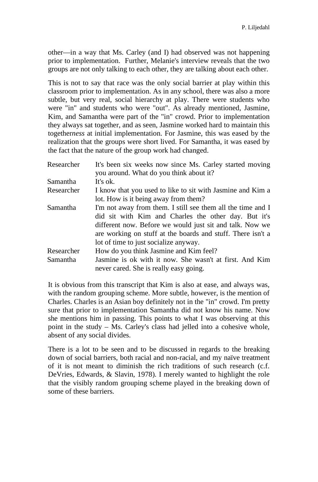other—in a way that Ms. Carley (and I) had observed was not happening prior to implementation. Further, Melanie's interview reveals that the two groups are not only talking to each other, they are talking about each other.

This is not to say that race was the only social barrier at play within this classroom prior to implementation. As in any school, there was also a more subtle, but very real, social hierarchy at play. There were students who were "in" and students who were "out". As already mentioned, Jasmine, Kim, and Samantha were part of the "in" crowd. Prior to implementation they always sat together, and as seen, Jasmine worked hard to maintain this together*ness* at initial implementation. For Jasmine, this was eased by the realization that the groups were short lived. For Samantha, it was eased by the fact that the nature of the group work had changed.

| Researcher | It's been six weeks now since Ms. Carley started moving<br>you around. What do you think about it? |
|------------|----------------------------------------------------------------------------------------------------|
| Samantha   | It's ok.                                                                                           |
| Researcher | I know that you used to like to sit with Jasmine and Kim a                                         |
|            | lot. How is it being away from them?                                                               |
| Samantha   | I'm not away from them. I still see them all the time and I                                        |
|            | did sit with Kim and Charles the other day. But it's                                               |
|            | different now. Before we would just sit and talk. Now we                                           |
|            | are working on stuff at the boards and stuff. There isn't a                                        |
|            | lot of time to just socialize anyway.                                                              |
| Researcher | How do you think Jasmine and Kim feel?                                                             |
| Samantha   | Jasmine is ok with it now. She wasn't at first. And Kim                                            |
|            | never cared. She is really easy going.                                                             |
|            |                                                                                                    |

It is obvious from this transcript that Kim is also at ease, and always was, with the random grouping scheme. More subtle, however, is the mention of Charles. Charles is an Asian boy definitely not in the "in" crowd. I'm pretty sure that prior to implementation Samantha did not know his name. Now she mentions him in passing. This points to what I was observing at this point in the study – Ms. Carley's class had jelled into a cohesive whole, absent of any social divides.

There is a lot to be seen and to be discussed in regards to the breaking down of social barriers, both racial and non-racial, and my naïve treatment of it is not meant to diminish the rich traditions of such research (c.f. DeVries, Edwards, & Slavin, 1978). I merely wanted to highlight the role that the visibly random grouping scheme played in the breaking down of some of these barriers.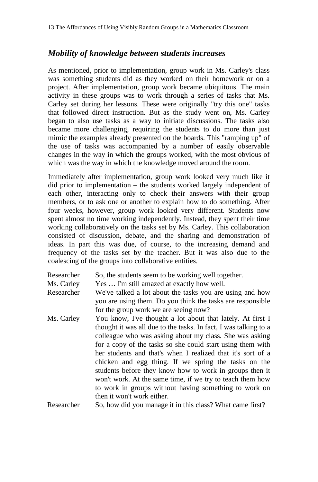#### *Mobility of knowledge between students increases*

As mentioned, prior to implementation, group work in Ms. Carley's class was something students did as they worked on their homework or on a project. After implementation, group work became ubiquitous. The main activity in these groups was to work through a series of tasks that Ms. Carley set during her lessons. These were originally "try this one" tasks that followed direct instruction. But as the study went on, Ms. Carley began to also use tasks as a way to initiate discussions. The tasks also became more challenging, requiring the students to do more than just mimic the examples already presented on the boards. This "ramping up" of the use of tasks was accompanied by a number of easily observable changes in the way in which the groups worked, with the most obvious of which was the way in which the knowledge moved around the room.

Immediately after implementation, group work looked very much like it did prior to implementation – the students worked largely independent of each other, interacting only to check their answers with their group members, or to ask one or another to explain how to do something. After four weeks, however, group work looked very different. Students now spent almost no time working independently. Instead, they spent their time working collaboratively on the tasks set by Ms. Carley. This collaboration consisted of discussion, debate, and the sharing and demonstration of ideas. In part this was due, of course, to the increasing demand and frequency of the tasks set by the teacher. But it was also due to the coalescing of the groups into collaborative entities.

Researcher So, the students seem to be working well together.

Ms. Carley Yes ... I'm still amazed at exactly how well.

- Researcher We've talked a lot about the tasks you are using and how you are using them. Do you think the tasks are responsible for the group work we are seeing now?
- Ms. Carley You know, I've thought a lot about that lately. At first I thought it was all due to the tasks. In fact, I was talking to a colleague who was asking about my class. She was asking for a copy of the tasks so she could start using them with her students and that's when I realized that it's sort of a chicken and egg thing. If we spring the tasks on the students before they know how to work in groups then it won't work. At the same time, if we try to teach them how to work in groups without having something to work on then it won't work either.

```
Researcher So, how did you manage it in this class? What came first?
```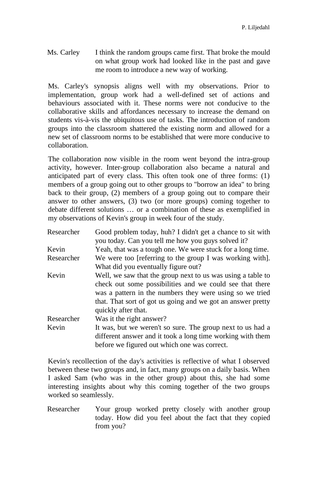Ms. Carley I think the random groups came first. That broke the mould on what group work had looked like in the past and gave me room to introduce a new way of working.

Ms. Carley's synopsis aligns well with my observations. Prior to implementation, group work had a well-defined set of actions and behaviours associated with it. These norms were not conducive to the collaborative skills and affordances necessary to increase the demand on students vis-à-vis the ubiquitous use of tasks. The introduction of random groups into the classroom shattered the existing norm and allowed for a new set of classroom norms to be established that were more conducive to collaboration.

The collaboration now visible in the room went beyond the intra-group activity, however. Inter-group collaboration also became a natural and anticipated part of every class. This often took one of three forms: (1) members of a group going out to other groups to "borrow an idea" to bring back to their group, (2) members of a group going out to compare their answer to other answers, (3) two (or more groups) coming together to debate different solutions … or a combination of these as exemplified in my observations of Kevin's group in week four of the study.

| Good problem today, huh? I didn't get a chance to sit with<br>you today. Can you tell me how you guys solved it?                                                                                                                                                          |
|---------------------------------------------------------------------------------------------------------------------------------------------------------------------------------------------------------------------------------------------------------------------------|
| Yeah, that was a tough one. We were stuck for a long time.                                                                                                                                                                                                                |
| We were too [referring to the group I was working with].<br>What did you eventually figure out?                                                                                                                                                                           |
| Well, we saw that the group next to us was using a table to<br>check out some possibilities and we could see that there<br>was a pattern in the numbers they were using so we tried<br>that. That sort of got us going and we got an answer pretty<br>quickly after that. |
| Was it the right answer?<br>It was, but we weren't so sure. The group next to us had a<br>different answer and it took a long time working with them<br>before we figured out which one was correct.                                                                      |
|                                                                                                                                                                                                                                                                           |

Kevin's recollection of the day's activities is reflective of what I observed between these two groups and, in fact, many groups on a daily basis. When I asked Sam (who was in the other group) about this, she had some interesting insights about why this coming together of the two groups worked so seamlessly.

Researcher Your group worked pretty closely with another group today. How did you feel about the fact that they copied from you?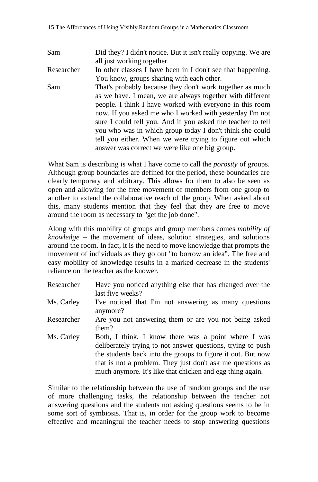Sam Did they? I didn't notice. But it isn't really copying. We are all just working together. Researcher In other classes I have been in I don't see that happening. You know, groups sharing with each other. Sam That's probably because they don't work together as much as we have. I mean, we are always together with different people. I think I have worked with everyone in this room now. If you asked me who I worked with yesterday I'm not sure I could tell you. And if you asked the teacher to tell you who was in which group today I don't think she could tell you either. When we were trying to figure out which answer was correct we were like one big group.

What Sam is describing is what I have come to call the *porosity* of groups. Although group boundaries are defined for the period, these boundaries are clearly temporary and arbitrary. This allows for them to also be seen as open and allowing for the free movement of members from one group to another to extend the collaborative reach of the group. When asked about this, many students mention that they feel that they are free to move around the room as necessary to "get the job done".

Along with this mobility of groups and group members comes *mobility of knowledge* – the movement of ideas, solution strategies, and solutions around the room. In fact, it is the need to move knowledge that prompts the movement of individuals as they go out "to borrow an idea". The free and easy mobility of knowledge results in a marked decrease in the students' reliance on the teacher as the knower.

| Researcher | Have you noticed anything else that has changed over the<br>last five weeks?                                                                                                                                                                                                                                 |
|------------|--------------------------------------------------------------------------------------------------------------------------------------------------------------------------------------------------------------------------------------------------------------------------------------------------------------|
| Ms. Carley | I've noticed that I'm not answering as many questions<br>anymore?                                                                                                                                                                                                                                            |
| Researcher | Are you not answering them or are you not being asked<br>them?                                                                                                                                                                                                                                               |
| Ms. Carley | Both, I think. I know there was a point where I was<br>deliberately trying to not answer questions, trying to push<br>the students back into the groups to figure it out. But now<br>that is not a problem. They just don't ask me questions as<br>much anymore. It's like that chicken and egg thing again. |

Similar to the relationship between the use of random groups and the use of more challenging tasks, the relationship between the teacher not answering questions and the students not asking questions seems to be in some sort of symbiosis. That is, in order for the group work to become effective and meaningful the teacher needs to stop answering questions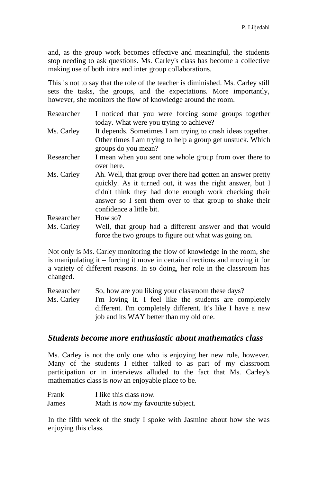and, as the group work becomes effective and meaningful, the students stop needing to ask questions. Ms. Carley's class has become a collective making use of both intra and inter group collaborations.

This is not to say that the role of the teacher is diminished. Ms. Carley still sets the tasks, the groups, and the expectations. More importantly, however, she monitors the flow of knowledge around the room.

| Researcher | I noticed that you were forcing some groups together<br>today. What were you trying to achieve?                                                                                                                                                                          |
|------------|--------------------------------------------------------------------------------------------------------------------------------------------------------------------------------------------------------------------------------------------------------------------------|
| Ms. Carley | It depends. Sometimes I am trying to crash ideas together.<br>Other times I am trying to help a group get unstuck. Which<br>groups do you mean?                                                                                                                          |
| Researcher | I mean when you sent one whole group from over there to<br>over here.                                                                                                                                                                                                    |
| Ms. Carley | Ah. Well, that group over there had gotten an answer pretty<br>quickly. As it turned out, it was the right answer, but I<br>didn't think they had done enough work checking their<br>answer so I sent them over to that group to shake their<br>confidence a little bit. |
| Researcher | How so?                                                                                                                                                                                                                                                                  |
| Ms. Carley | Well, that group had a different answer and that would<br>force the two groups to figure out what was going on.                                                                                                                                                          |

Not only is Ms. Carley monitoring the flow of knowledge in the room, she is manipulating it – forcing it move in certain directions and moving it for a variety of different reasons. In so doing, her role in the classroom has changed.

Researcher So, how are you liking your classroom these days? Ms. Carley I'm loving it. I feel like the students are completely different. I'm completely different. It's like I have a new job and its WAY better than my old one.

#### *Students become more enthusiastic about mathematics class*

Ms. Carley is not the only one who is enjoying her new role, however. Many of the students I either talked to as part of my classroom participation or in interviews alluded to the fact that Ms. Carley's mathematics class is *now* an enjoyable place to be.

| Frank | I like this class <i>now</i> .           |
|-------|------------------------------------------|
| James | Math is <i>now</i> my favourite subject. |

In the fifth week of the study I spoke with Jasmine about how she was enjoying this class.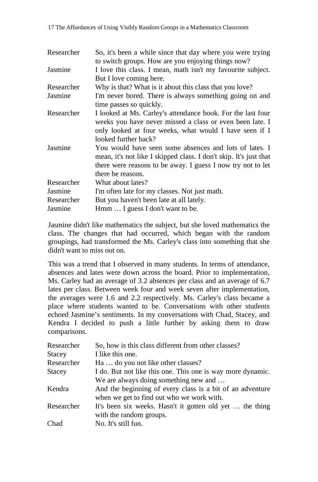| Researcher | So, it's been a while since that day where you were trying        |
|------------|-------------------------------------------------------------------|
|            | to switch groups. How are you enjoying things now?                |
| Jasmine    | I love this class. I mean, math isn't my favourite subject.       |
|            | But I love coming here.                                           |
| Researcher | Why is that? What is it about this class that you love?           |
| Jasmine    | I'm never bored. There is always something going on and           |
|            | time passes so quickly.                                           |
| Researcher | I looked at Ms. Carley's attendance book. For the last four       |
|            | weeks you have never missed a class or even been late. I          |
|            | only looked at four weeks, what would I have seen if I            |
|            | looked further back?                                              |
| Jasmine    | You would have seen some absences and lots of lates. I            |
|            | mean, it's not like I skipped class. I don't skip. It's just that |
|            | there were reasons to be away. I guess I now try not to let       |
|            | there be reasons.                                                 |
| Researcher | What about lates?                                                 |
| Jasmine    | I'm often late for my classes. Not just math.                     |
| Researcher | But you haven't been late at all lately.                          |
| Jasmine    | Hmm  I guess I don't want to be.                                  |
|            |                                                                   |

Jasmine didn't like mathematics the subject, but she loved mathematics the class. The changes that had occurred, which began with the random groupings, had transformed the Ms. Carley's class into something that she didn't want to miss out on.

This was a trend that I observed in many students. In terms of attendance, absences and lates were down across the board. Prior to implementation, Ms. Carley had an average of 3.2 absences per class and an average of 6.7 lates per class. Between week four and week seven after implementation, the averages were 1.6 and 2.2 respectively. Ms. Carley's class became a place where students wanted to be. Conversations with other students echoed Jasmine's sentiments. In my conversations with Chad, Stacey, and Kendra I decided to push a little further by asking them to draw comparisons.

| Researcher    | So, how is this class different from other classes?        |
|---------------|------------------------------------------------------------|
| <b>Stacey</b> | I like this one.                                           |
| Researcher    | Ha  do you not like other classes?                         |
| Stacey        | I do. But not like this one. This one is way more dynamic. |
|               | We are always doing something new and                      |
| Kendra        | And the beginning of every class is a bit of an adventure  |
|               | when we get to find out who we work with.                  |
| Researcher    | It's been six weeks. Hasn't it gotten old yet  the thing   |
|               | with the random groups.                                    |
| Chad          | No. It's still fun.                                        |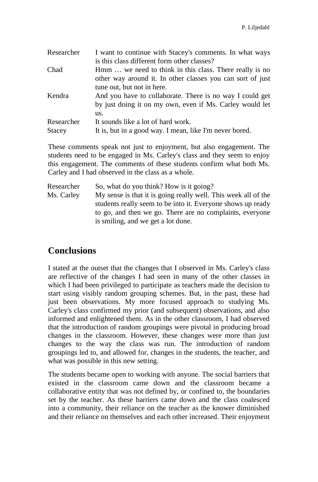| Researcher | I want to continue with Stacey's comments. In what ways    |
|------------|------------------------------------------------------------|
|            | is this class different form other classes?                |
| Chad       | Hmm  we need to think in this class. There really is no    |
|            | other way around it. In other classes you can sort of just |
|            | tune out, but not in here.                                 |
| Kendra     | And you have to collaborate. There is no way I could get   |
|            | by just doing it on my own, even if Ms. Carley would let   |
|            | us.                                                        |
| Researcher | It sounds like a lot of hard work.                         |
| Stacey     | It is, but in a good way. I mean, like I'm never bored.    |

These comments speak not just to enjoyment, but also engagement. The students need to be engaged in Ms. Carley's class and they seem to enjoy this engagement. The comments of these students confirm what both Ms. Carley and I had observed in the class as a whole.

Researcher So, what do you think? How is it going? Ms. Carley My sense is that it is going really well. This week all of the students really seem to be into it. Everyone shows up ready to go, and then we go. There are no complaints, everyone is smiling, and we get a lot done.

#### **Conclusions**

I stated at the outset that the changes that I observed in Ms. Carley's class are reflective of the changes I had seen in many of the other classes in which I had been privileged to participate as teachers made the decision to start using visibly random grouping schemes. But, in the past, these had just been observations. My more focused approach to studying Ms. Carley's class confirmed my prior (and subsequent) observations, and also informed and enlightened them. As in the other classroom, I had observed that the introduction of random groupings were pivotal in producing broad changes in the classroom. However, these changes were more than just changes to the way the class was run. The introduction of random groupings led to, and allowed for, changes in the students, the teacher, and what was possible in this new setting.

The students became open to working with anyone. The social barriers that existed in the classroom came down and the classroom became a collaborative entity that was not defined by, or confined to, the boundaries set by the teacher. As these barriers came down and the class coalesced into a community, their reliance on the teacher as the knower diminished and their reliance on themselves and each other increased. Their enjoyment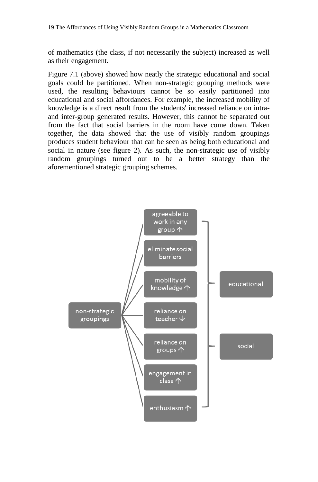of mathematics (the class, if not necessarily the subject) increased as well as their engagement.

Figure 7.1 (above) showed how neatly the strategic educational and social goals could be partitioned. When non-strategic grouping methods were used, the resulting behaviours cannot be so easily partitioned into educational and social affordances. For example, the increased mobility of knowledge is a direct result from the students' increased reliance on intraand inter-group generated results. However, this cannot be separated out from the fact that social barriers in the room have come down. Taken together, the data showed that the use of visibly random groupings produces student behaviour that can be seen as being both educational and social in nature (see figure 2). As such, the non-strategic use of visibly random groupings turned out to be a better strategy than the aforementioned strategic grouping schemes.

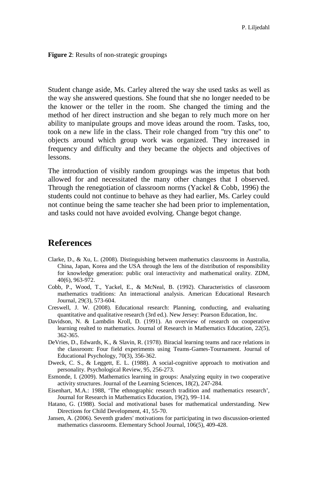**Figure 2**: Results of non-strategic groupings

Student change aside, Ms. Carley altered the way she used tasks as well as the way she answered questions. She found that she no longer needed to be the knower or the teller in the room. She changed the timing and the method of her direct instruction and she began to rely much more on her ability to manipulate groups and move ideas around the room. Tasks, too, took on a new life in the class. Their role changed from "try this one" to objects around which group work was organized. They increased in frequency and difficulty and they became the objects and objectives of lessons.

The introduction of visibly random groupings was the impetus that both allowed for and necessitated the many other changes that I observed. Through the renegotiation of classroom norms (Yackel & Cobb, 1996) the students could not continue to behave as they had earlier, Ms. Carley could not continue being the same teacher she had been prior to implementation, and tasks could not have avoided evolving. Change begot change.

#### **References**

- Clarke, D., & Xu, L. (2008). Distinguishing between mathematics classrooms in Australia, China, Japan, Korea and the USA through the lens of the distribution of responsibility for knowledge generation: public oral interactivity and mathematical orality. ZDM, 40(6), 963-972.
- Cobb, P., Wood, T., Yackel, E., & McNeal, B. (1992). Characteristics of classroom mathematics traditions: An interactional analysis. American Educational Research Journal, 29(3), 573-604.
- Creswell, J. W. (2008). Educational research: Planning, conducting, and evaluating quantitative and qualitative research (3rd ed.). New Jersey: Pearson Education, Inc.
- Davidson, N. & Lambdin Kroll, D. (1991). An overview of research on cooperative learning realted to mathematics. Journal of Research in Mathematics Education, 22(5), 362-365.
- DeVries, D., Edwards, K., & Slavin, R. (1978). Biracial learning teams and race relations in the classroom: Four field experiments using Teams-Games-Tournament. Journal of Educational Psychology, 70(3), 356-362.
- Dweck, C. S., & Leggett, E. L. (1988). A social-cognitive approach to motivation and personality. Psychological Review, 95, 256-273.
- Esmonde, I. (2009). Mathematics learning in groups: Analyzing equity in two cooperative activity structures. Journal of the Learning Sciences, 18(2), 247-284.
- Eisenhart, M.A.: 1988, 'The ethnographic research tradition and mathematics research', Journal for Research in Mathematics Education, 19(2), 99–114.
- Hatano, G. (1988). Social and motivational bases for mathematical understanding. New Directions for Child Development, 41, 55-70.
- Jansen, A. (2006). Seventh graders' motivations for participating in two discussion-oriented mathematics classrooms. Elementary School Journal, 106(5), 409-428.